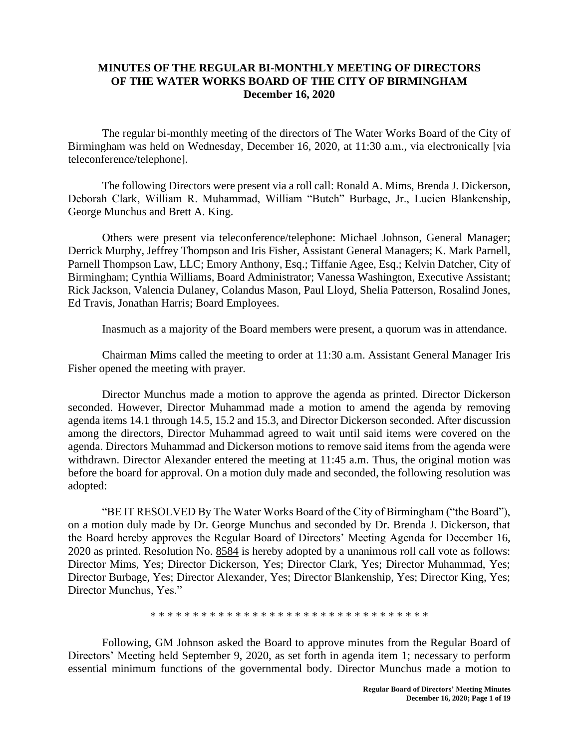## **MINUTES OF THE REGULAR BI-MONTHLY MEETING OF DIRECTORS OF THE WATER WORKS BOARD OF THE CITY OF BIRMINGHAM December 16, 2020**

The regular bi-monthly meeting of the directors of The Water Works Board of the City of Birmingham was held on Wednesday, December 16, 2020, at 11:30 a.m., via electronically [via teleconference/telephone].

The following Directors were present via a roll call: Ronald A. Mims, Brenda J. Dickerson, Deborah Clark, William R. Muhammad, William "Butch" Burbage, Jr., Lucien Blankenship, George Munchus and Brett A. King.

Others were present via teleconference/telephone: Michael Johnson, General Manager; Derrick Murphy, Jeffrey Thompson and Iris Fisher, Assistant General Managers; K. Mark Parnell, Parnell Thompson Law, LLC; Emory Anthony, Esq.; Tiffanie Agee, Esq.; Kelvin Datcher, City of Birmingham; Cynthia Williams, Board Administrator; Vanessa Washington, Executive Assistant; Rick Jackson, Valencia Dulaney, Colandus Mason, Paul Lloyd, Shelia Patterson, Rosalind Jones, Ed Travis, Jonathan Harris; Board Employees.

Inasmuch as a majority of the Board members were present, a quorum was in attendance.

Chairman Mims called the meeting to order at 11:30 a.m. Assistant General Manager Iris Fisher opened the meeting with prayer.

Director Munchus made a motion to approve the agenda as printed. Director Dickerson seconded. However, Director Muhammad made a motion to amend the agenda by removing agenda items 14.1 through 14.5, 15.2 and 15.3, and Director Dickerson seconded. After discussion among the directors, Director Muhammad agreed to wait until said items were covered on the agenda. Directors Muhammad and Dickerson motions to remove said items from the agenda were withdrawn. Director Alexander entered the meeting at 11:45 a.m. Thus, the original motion was before the board for approval. On a motion duly made and seconded, the following resolution was adopted:

"BE IT RESOLVED By The Water Works Board of the City of Birmingham ("the Board"), on a motion duly made by Dr. George Munchus and seconded by Dr. Brenda J. Dickerson, that the Board hereby approves the Regular Board of Directors' Meeting Agenda for December 16, 2020 as printed. Resolution No. 8584 is hereby adopted by a unanimous roll call vote as follows: Director Mims, Yes; Director Dickerson, Yes; Director Clark, Yes; Director Muhammad, Yes; Director Burbage, Yes; Director Alexander, Yes; Director Blankenship, Yes; Director King, Yes; Director Munchus, Yes."

\* \* \* \* \* \* \* \* \* \* \* \* \* \* \* \* \* \* \* \* \* \* \* \* \* \* \* \* \* \* \* \* \*

Following, GM Johnson asked the Board to approve minutes from the Regular Board of Directors' Meeting held September 9, 2020, as set forth in agenda item 1; necessary to perform essential minimum functions of the governmental body. Director Munchus made a motion to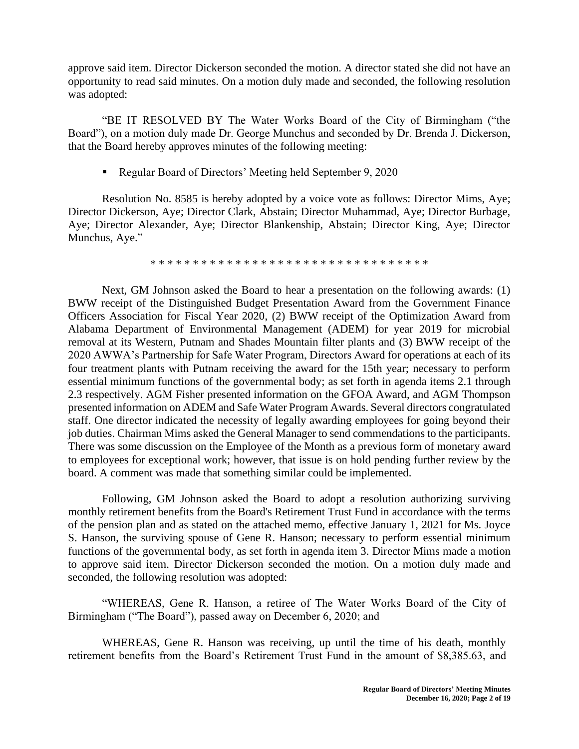approve said item. Director Dickerson seconded the motion. A director stated she did not have an opportunity to read said minutes. On a motion duly made and seconded, the following resolution was adopted:

"BE IT RESOLVED BY The Water Works Board of the City of Birmingham ("the Board"), on a motion duly made Dr. George Munchus and seconded by Dr. Brenda J. Dickerson, that the Board hereby approves minutes of the following meeting:

■ Regular Board of Directors' Meeting held September 9, 2020

Resolution No. 8585 is hereby adopted by a voice vote as follows: Director Mims, Aye; Director Dickerson, Aye; Director Clark, Abstain; Director Muhammad, Aye; Director Burbage, Aye; Director Alexander, Aye; Director Blankenship, Abstain; Director King, Aye; Director Munchus, Aye."

\* \* \* \* \* \* \* \* \* \* \* \* \* \* \* \* \* \* \* \* \* \* \* \* \* \* \* \* \* \* \* \* \*

Next, GM Johnson asked the Board to hear a presentation on the following awards: (1) BWW receipt of the Distinguished Budget Presentation Award from the Government Finance Officers Association for Fiscal Year 2020, (2) BWW receipt of the Optimization Award from Alabama Department of Environmental Management (ADEM) for year 2019 for microbial removal at its Western, Putnam and Shades Mountain filter plants and (3) BWW receipt of the 2020 AWWA's Partnership for Safe Water Program, Directors Award for operations at each of its four treatment plants with Putnam receiving the award for the 15th year; necessary to perform essential minimum functions of the governmental body; as set forth in agenda items 2.1 through 2.3 respectively. AGM Fisher presented information on the GFOA Award, and AGM Thompson presented information on ADEM and Safe Water Program Awards. Several directors congratulated staff. One director indicated the necessity of legally awarding employees for going beyond their job duties. Chairman Mims asked the General Manager to send commendations to the participants. There was some discussion on the Employee of the Month as a previous form of monetary award to employees for exceptional work; however, that issue is on hold pending further review by the board. A comment was made that something similar could be implemented.

Following, GM Johnson asked the Board to adopt a resolution authorizing surviving monthly retirement benefits from the Board's Retirement Trust Fund in accordance with the terms of the pension plan and as stated on the attached memo, effective January 1, 2021 for Ms. Joyce S. Hanson, the surviving spouse of Gene R. Hanson; necessary to perform essential minimum functions of the governmental body, as set forth in agenda item 3. Director Mims made a motion to approve said item. Director Dickerson seconded the motion. On a motion duly made and seconded, the following resolution was adopted:

"WHEREAS, Gene R. Hanson, a retiree of The Water Works Board of the City of Birmingham ("The Board"), passed away on December 6, 2020; and

WHEREAS, Gene R. Hanson was receiving, up until the time of his death, monthly retirement benefits from the Board's Retirement Trust Fund in the amount of \$8,385.63, and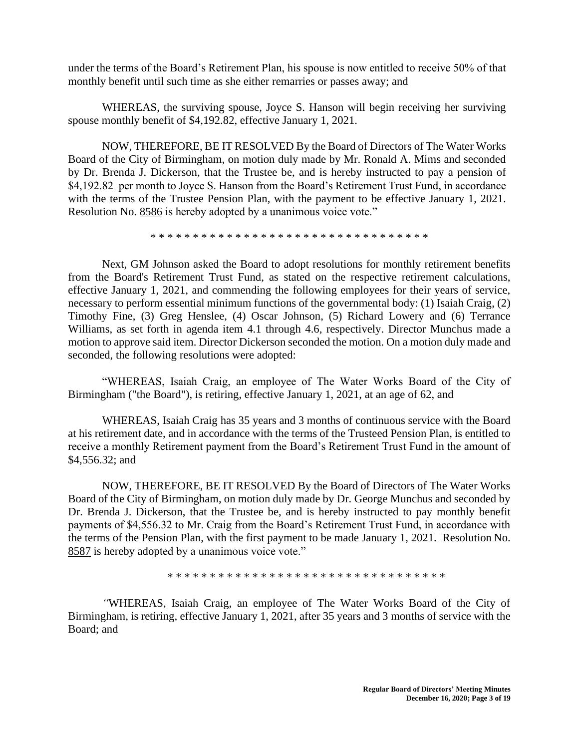under the terms of the Board's Retirement Plan, his spouse is now entitled to receive 50% of that monthly benefit until such time as she either remarries or passes away; and

WHEREAS, the surviving spouse, Joyce S. Hanson will begin receiving her surviving spouse monthly benefit of \$4,192.82, effective January 1, 2021.

NOW, THEREFORE, BE IT RESOLVED By the Board of Directors of The Water Works Board of the City of Birmingham, on motion duly made by Mr. Ronald A. Mims and seconded by Dr. Brenda J. Dickerson, that the Trustee be, and is hereby instructed to pay a pension of \$4,192.82 per month to Joyce S. Hanson from the Board's Retirement Trust Fund, in accordance with the terms of the Trustee Pension Plan, with the payment to be effective January 1, 2021. Resolution No. 8586 is hereby adopted by a unanimous voice vote."

\* \* \* \* \* \* \* \* \* \* \* \* \* \* \* \* \* \* \* \* \* \* \* \* \* \* \* \* \* \* \* \* \*

Next, GM Johnson asked the Board to adopt resolutions for monthly retirement benefits from the Board's Retirement Trust Fund, as stated on the respective retirement calculations, effective January 1, 2021, and commending the following employees for their years of service, necessary to perform essential minimum functions of the governmental body: (1) Isaiah Craig, (2) Timothy Fine, (3) Greg Henslee, (4) Oscar Johnson, (5) Richard Lowery and (6) Terrance Williams, as set forth in agenda item 4.1 through 4.6, respectively. Director Munchus made a motion to approve said item. Director Dickerson seconded the motion. On a motion duly made and seconded, the following resolutions were adopted:

"WHEREAS, Isaiah Craig, an employee of The Water Works Board of the City of Birmingham ("the Board"), is retiring, effective January 1, 2021, at an age of 62, and

WHEREAS, Isaiah Craig has 35 years and 3 months of continuous service with the Board at his retirement date, and in accordance with the terms of the Trusteed Pension Plan, is entitled to receive a monthly Retirement payment from the Board's Retirement Trust Fund in the amount of \$4,556.32; and

NOW, THEREFORE, BE IT RESOLVED By the Board of Directors of The Water Works Board of the City of Birmingham, on motion duly made by Dr. George Munchus and seconded by Dr. Brenda J. Dickerson, that the Trustee be, and is hereby instructed to pay monthly benefit payments of \$4,556.32 to Mr. Craig from the Board's Retirement Trust Fund, in accordance with the terms of the Pension Plan, with the first payment to be made January 1, 2021. Resolution No. 8587 is hereby adopted by a unanimous voice vote."

\* \* \* \* \* \* \* \* \* \* \* \* \* \* \* \* \* \* \* \* \* \* \* \* \* \* \* \* \* \* \* \* \*

*"*WHEREAS, Isaiah Craig, an employee of The Water Works Board of the City of Birmingham, is retiring, effective January 1, 2021, after 35 years and 3 months of service with the Board; and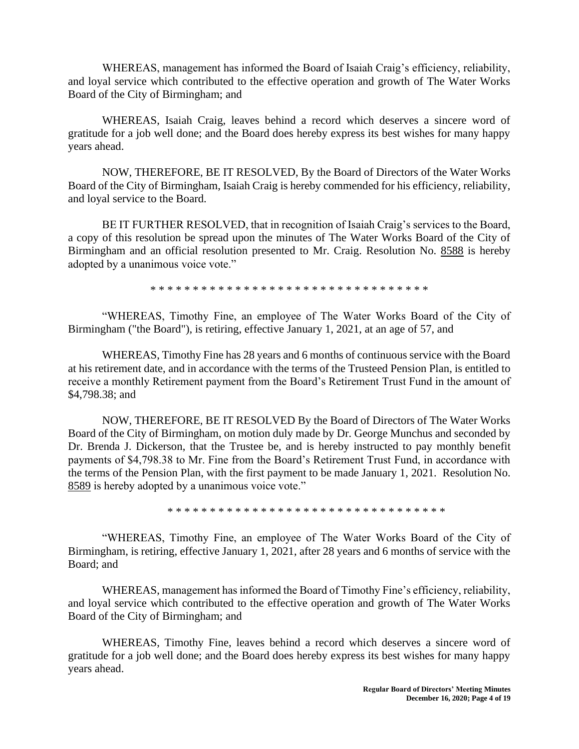WHEREAS, management has informed the Board of Isaiah Craig's efficiency, reliability, and loyal service which contributed to the effective operation and growth of The Water Works Board of the City of Birmingham; and

WHEREAS, Isaiah Craig, leaves behind a record which deserves a sincere word of gratitude for a job well done; and the Board does hereby express its best wishes for many happy years ahead.

NOW, THEREFORE, BE IT RESOLVED, By the Board of Directors of the Water Works Board of the City of Birmingham, Isaiah Craig is hereby commended for his efficiency, reliability, and loyal service to the Board.

BE IT FURTHER RESOLVED, that in recognition of Isaiah Craig's services to the Board, a copy of this resolution be spread upon the minutes of The Water Works Board of the City of Birmingham and an official resolution presented to Mr. Craig. Resolution No. 8588 is hereby adopted by a unanimous voice vote."

\* \* \* \* \* \* \* \* \* \* \* \* \* \* \* \* \* \* \* \* \* \* \* \* \* \* \* \* \* \* \* \* \*

"WHEREAS, Timothy Fine, an employee of The Water Works Board of the City of Birmingham ("the Board"), is retiring, effective January 1, 2021, at an age of 57, and

WHEREAS, Timothy Fine has 28 years and 6 months of continuous service with the Board at his retirement date, and in accordance with the terms of the Trusteed Pension Plan, is entitled to receive a monthly Retirement payment from the Board's Retirement Trust Fund in the amount of \$4,798.38; and

NOW, THEREFORE, BE IT RESOLVED By the Board of Directors of The Water Works Board of the City of Birmingham, on motion duly made by Dr. George Munchus and seconded by Dr. Brenda J. Dickerson, that the Trustee be, and is hereby instructed to pay monthly benefit payments of \$4,798.38 to Mr. Fine from the Board's Retirement Trust Fund, in accordance with the terms of the Pension Plan, with the first payment to be made January 1, 2021. Resolution No. 8589 is hereby adopted by a unanimous voice vote."

\* \* \* \* \* \* \* \* \* \* \* \* \* \* \* \* \* \* \* \* \* \* \* \* \* \* \* \* \* \* \* \* \*

"WHEREAS, Timothy Fine, an employee of The Water Works Board of the City of Birmingham, is retiring, effective January 1, 2021, after 28 years and 6 months of service with the Board; and

WHEREAS, management has informed the Board of Timothy Fine's efficiency, reliability, and loyal service which contributed to the effective operation and growth of The Water Works Board of the City of Birmingham; and

WHEREAS, Timothy Fine, leaves behind a record which deserves a sincere word of gratitude for a job well done; and the Board does hereby express its best wishes for many happy years ahead.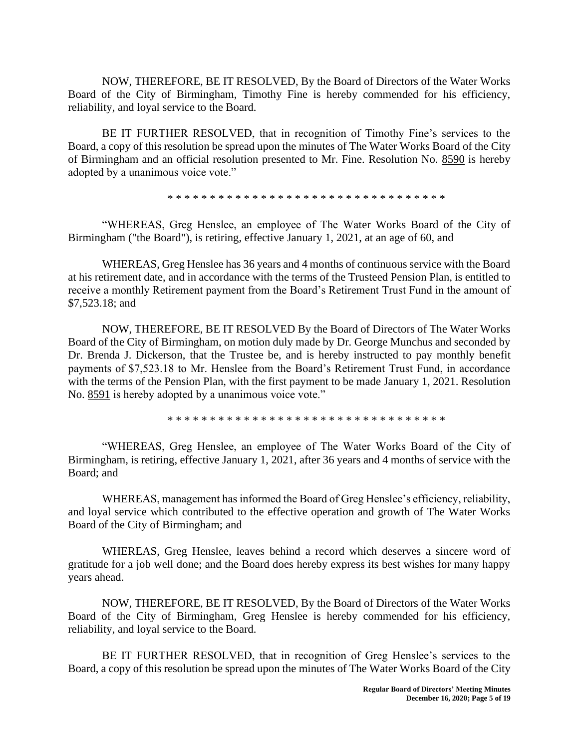NOW, THEREFORE, BE IT RESOLVED, By the Board of Directors of the Water Works Board of the City of Birmingham, Timothy Fine is hereby commended for his efficiency, reliability, and loyal service to the Board.

BE IT FURTHER RESOLVED, that in recognition of Timothy Fine's services to the Board, a copy of this resolution be spread upon the minutes of The Water Works Board of the City of Birmingham and an official resolution presented to Mr. Fine. Resolution No. 8590 is hereby adopted by a unanimous voice vote."

\* \* \* \* \* \* \* \* \* \* \* \* \* \* \* \* \* \* \* \* \* \* \* \* \* \* \* \* \* \* \* \* \*

"WHEREAS, Greg Henslee, an employee of The Water Works Board of the City of Birmingham ("the Board"), is retiring, effective January 1, 2021, at an age of 60, and

WHEREAS, Greg Henslee has 36 years and 4 months of continuous service with the Board at his retirement date, and in accordance with the terms of the Trusteed Pension Plan, is entitled to receive a monthly Retirement payment from the Board's Retirement Trust Fund in the amount of \$7,523.18; and

NOW, THEREFORE, BE IT RESOLVED By the Board of Directors of The Water Works Board of the City of Birmingham, on motion duly made by Dr. George Munchus and seconded by Dr. Brenda J. Dickerson, that the Trustee be, and is hereby instructed to pay monthly benefit payments of \$7,523.18 to Mr. Henslee from the Board's Retirement Trust Fund, in accordance with the terms of the Pension Plan, with the first payment to be made January 1, 2021. Resolution No. 8591 is hereby adopted by a unanimous voice vote."

\* \* \* \* \* \* \* \* \* \* \* \* \* \* \* \* \* \* \* \* \* \* \* \* \* \* \* \* \* \* \* \* \*

"WHEREAS, Greg Henslee, an employee of The Water Works Board of the City of Birmingham, is retiring, effective January 1, 2021, after 36 years and 4 months of service with the Board; and

WHEREAS, management has informed the Board of Greg Henslee's efficiency, reliability, and loyal service which contributed to the effective operation and growth of The Water Works Board of the City of Birmingham; and

WHEREAS, Greg Henslee, leaves behind a record which deserves a sincere word of gratitude for a job well done; and the Board does hereby express its best wishes for many happy years ahead.

NOW, THEREFORE, BE IT RESOLVED, By the Board of Directors of the Water Works Board of the City of Birmingham, Greg Henslee is hereby commended for his efficiency, reliability, and loyal service to the Board.

BE IT FURTHER RESOLVED, that in recognition of Greg Henslee's services to the Board, a copy of this resolution be spread upon the minutes of The Water Works Board of the City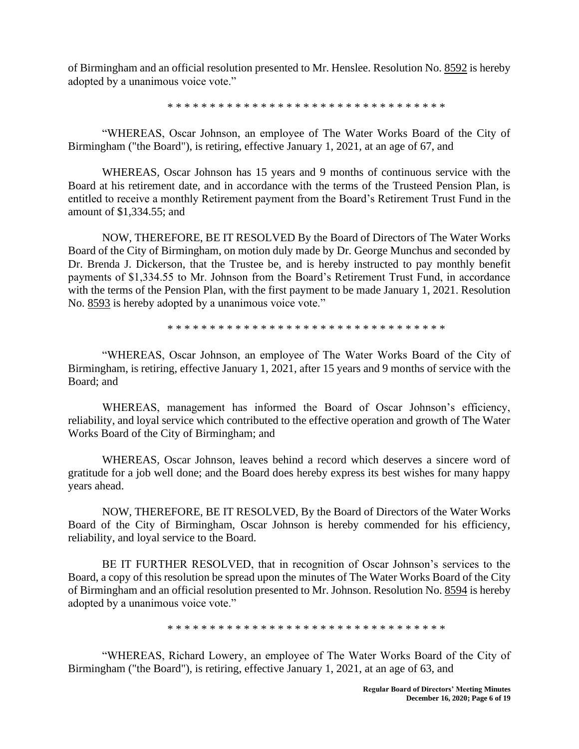of Birmingham and an official resolution presented to Mr. Henslee. Resolution No. 8592 is hereby adopted by a unanimous voice vote."

\* \* \* \* \* \* \* \* \* \* \* \* \* \* \* \* \* \* \* \* \* \* \* \* \* \* \* \* \* \* \* \* \*

"WHEREAS, Oscar Johnson, an employee of The Water Works Board of the City of Birmingham ("the Board"), is retiring, effective January 1, 2021, at an age of 67, and

WHEREAS, Oscar Johnson has 15 years and 9 months of continuous service with the Board at his retirement date, and in accordance with the terms of the Trusteed Pension Plan, is entitled to receive a monthly Retirement payment from the Board's Retirement Trust Fund in the amount of \$1,334.55; and

NOW, THEREFORE, BE IT RESOLVED By the Board of Directors of The Water Works Board of the City of Birmingham, on motion duly made by Dr. George Munchus and seconded by Dr. Brenda J. Dickerson, that the Trustee be, and is hereby instructed to pay monthly benefit payments of \$1,334.55 to Mr. Johnson from the Board's Retirement Trust Fund, in accordance with the terms of the Pension Plan, with the first payment to be made January 1, 2021. Resolution No. 8593 is hereby adopted by a unanimous voice vote."

\* \* \* \* \* \* \* \* \* \* \* \* \* \* \* \* \* \* \* \* \* \* \* \* \* \* \* \* \* \* \* \* \*

"WHEREAS, Oscar Johnson, an employee of The Water Works Board of the City of Birmingham, is retiring, effective January 1, 2021, after 15 years and 9 months of service with the Board; and

WHEREAS, management has informed the Board of Oscar Johnson's efficiency, reliability, and loyal service which contributed to the effective operation and growth of The Water Works Board of the City of Birmingham; and

WHEREAS, Oscar Johnson, leaves behind a record which deserves a sincere word of gratitude for a job well done; and the Board does hereby express its best wishes for many happy years ahead.

NOW, THEREFORE, BE IT RESOLVED, By the Board of Directors of the Water Works Board of the City of Birmingham, Oscar Johnson is hereby commended for his efficiency, reliability, and loyal service to the Board.

BE IT FURTHER RESOLVED, that in recognition of Oscar Johnson's services to the Board, a copy of this resolution be spread upon the minutes of The Water Works Board of the City of Birmingham and an official resolution presented to Mr. Johnson. Resolution No. 8594 is hereby adopted by a unanimous voice vote."

\* \* \* \* \* \* \* \* \* \* \* \* \* \* \* \* \* \* \* \* \* \* \* \* \* \* \* \* \* \* \* \* \*

"WHEREAS, Richard Lowery, an employee of The Water Works Board of the City of Birmingham ("the Board"), is retiring, effective January 1, 2021, at an age of 63, and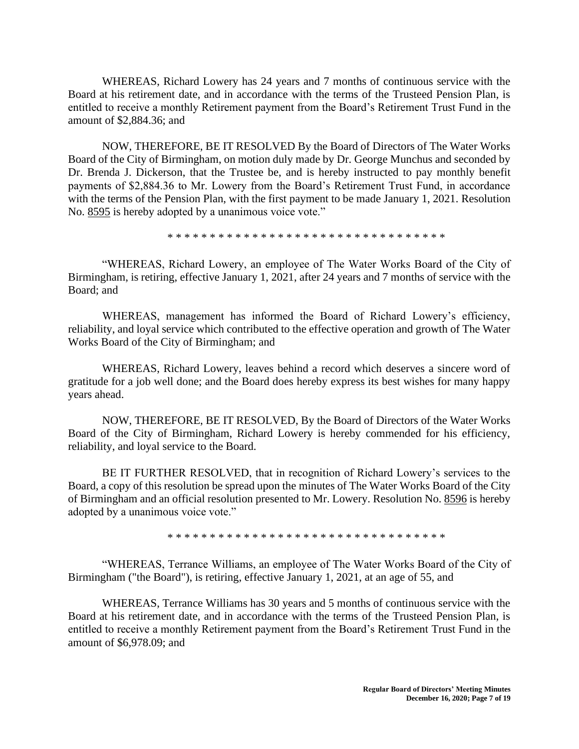WHEREAS, Richard Lowery has 24 years and 7 months of continuous service with the Board at his retirement date, and in accordance with the terms of the Trusteed Pension Plan, is entitled to receive a monthly Retirement payment from the Board's Retirement Trust Fund in the amount of \$2,884.36; and

NOW, THEREFORE, BE IT RESOLVED By the Board of Directors of The Water Works Board of the City of Birmingham, on motion duly made by Dr. George Munchus and seconded by Dr. Brenda J. Dickerson, that the Trustee be, and is hereby instructed to pay monthly benefit payments of \$2,884.36 to Mr. Lowery from the Board's Retirement Trust Fund, in accordance with the terms of the Pension Plan, with the first payment to be made January 1, 2021. Resolution No. 8595 is hereby adopted by a unanimous voice vote."

\* \* \* \* \* \* \* \* \* \* \* \* \* \* \* \* \* \* \* \* \* \* \* \* \* \* \* \* \* \* \* \* \*

"WHEREAS, Richard Lowery, an employee of The Water Works Board of the City of Birmingham, is retiring, effective January 1, 2021, after 24 years and 7 months of service with the Board; and

WHEREAS, management has informed the Board of Richard Lowery's efficiency, reliability, and loyal service which contributed to the effective operation and growth of The Water Works Board of the City of Birmingham; and

WHEREAS, Richard Lowery, leaves behind a record which deserves a sincere word of gratitude for a job well done; and the Board does hereby express its best wishes for many happy years ahead.

NOW, THEREFORE, BE IT RESOLVED, By the Board of Directors of the Water Works Board of the City of Birmingham, Richard Lowery is hereby commended for his efficiency, reliability, and loyal service to the Board.

BE IT FURTHER RESOLVED, that in recognition of Richard Lowery's services to the Board, a copy of this resolution be spread upon the minutes of The Water Works Board of the City of Birmingham and an official resolution presented to Mr. Lowery. Resolution No. 8596 is hereby adopted by a unanimous voice vote."

\* \* \* \* \* \* \* \* \* \* \* \* \* \* \* \* \* \* \* \* \* \* \* \* \* \* \* \* \* \* \* \* \*

"WHEREAS, Terrance Williams, an employee of The Water Works Board of the City of Birmingham ("the Board"), is retiring, effective January 1, 2021, at an age of 55, and

WHEREAS, Terrance Williams has 30 years and 5 months of continuous service with the Board at his retirement date, and in accordance with the terms of the Trusteed Pension Plan, is entitled to receive a monthly Retirement payment from the Board's Retirement Trust Fund in the amount of \$6,978.09; and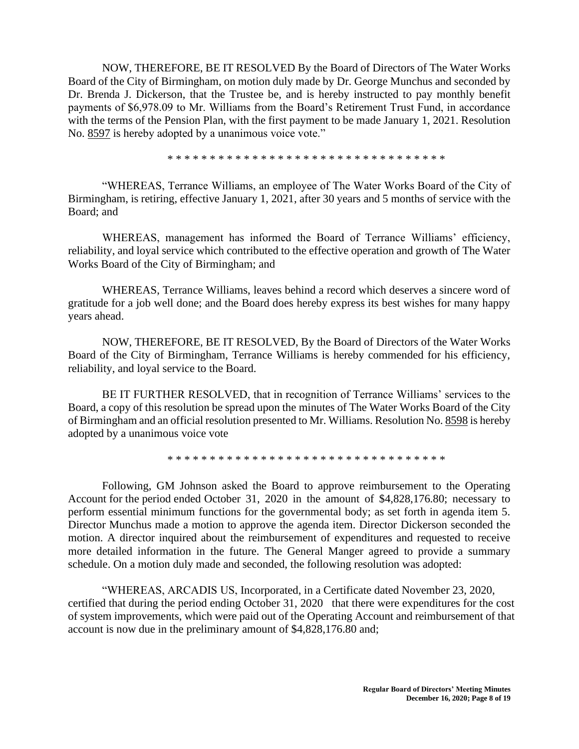NOW, THEREFORE, BE IT RESOLVED By the Board of Directors of The Water Works Board of the City of Birmingham, on motion duly made by Dr. George Munchus and seconded by Dr. Brenda J. Dickerson, that the Trustee be, and is hereby instructed to pay monthly benefit payments of \$6,978.09 to Mr. Williams from the Board's Retirement Trust Fund, in accordance with the terms of the Pension Plan, with the first payment to be made January 1, 2021. Resolution No. 8597 is hereby adopted by a unanimous voice vote."

\* \* \* \* \* \* \* \* \* \* \* \* \* \* \* \* \* \* \* \* \* \* \* \* \* \* \* \* \* \* \* \* \*

"WHEREAS, Terrance Williams, an employee of The Water Works Board of the City of Birmingham, is retiring, effective January 1, 2021, after 30 years and 5 months of service with the Board; and

WHEREAS, management has informed the Board of Terrance Williams' efficiency, reliability, and loyal service which contributed to the effective operation and growth of The Water Works Board of the City of Birmingham; and

WHEREAS, Terrance Williams, leaves behind a record which deserves a sincere word of gratitude for a job well done; and the Board does hereby express its best wishes for many happy years ahead.

NOW, THEREFORE, BE IT RESOLVED, By the Board of Directors of the Water Works Board of the City of Birmingham, Terrance Williams is hereby commended for his efficiency, reliability, and loyal service to the Board.

BE IT FURTHER RESOLVED, that in recognition of Terrance Williams' services to the Board, a copy of this resolution be spread upon the minutes of The Water Works Board of the City of Birmingham and an official resolution presented to Mr. Williams. Resolution No. 8598 is hereby adopted by a unanimous voice vote

\* \* \* \* \* \* \* \* \* \* \* \* \* \* \* \* \* \* \* \* \* \* \* \* \* \* \* \* \* \* \* \* \*

Following, GM Johnson asked the Board to approve reimbursement to the Operating Account for the period ended October 31, 2020 in the amount of \$4,828,176.80; necessary to perform essential minimum functions for the governmental body; as set forth in agenda item 5. Director Munchus made a motion to approve the agenda item. Director Dickerson seconded the motion. A director inquired about the reimbursement of expenditures and requested to receive more detailed information in the future. The General Manger agreed to provide a summary schedule. On a motion duly made and seconded, the following resolution was adopted:

"WHEREAS, ARCADIS US, Incorporated, in a Certificate dated November 23, 2020, certified that during the period ending October 31, 2020 that there were expenditures for the cost of system improvements, which were paid out of the Operating Account and reimbursement of that account is now due in the preliminary amount of \$4,828,176.80 and;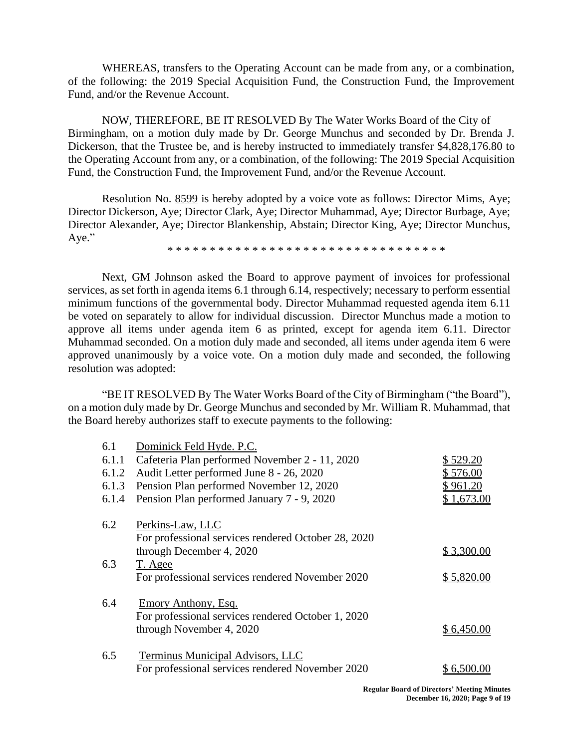WHEREAS, transfers to the Operating Account can be made from any, or a combination, of the following: the 2019 Special Acquisition Fund, the Construction Fund, the Improvement Fund, and/or the Revenue Account.

NOW, THEREFORE, BE IT RESOLVED By The Water Works Board of the City of Birmingham, on a motion duly made by Dr. George Munchus and seconded by Dr. Brenda J. Dickerson, that the Trustee be, and is hereby instructed to immediately transfer \$4,828,176.80 to the Operating Account from any, or a combination, of the following: The 2019 Special Acquisition Fund, the Construction Fund, the Improvement Fund, and/or the Revenue Account.

Resolution No. 8599 is hereby adopted by a voice vote as follows: Director Mims, Aye; Director Dickerson, Aye; Director Clark, Aye; Director Muhammad, Aye; Director Burbage, Aye; Director Alexander, Aye; Director Blankenship, Abstain; Director King, Aye; Director Munchus, Aye."

\* \* \* \* \* \* \* \* \* \* \* \* \* \* \* \* \* \* \* \* \* \* \* \* \* \* \* \* \* \* \* \* \*

Next, GM Johnson asked the Board to approve payment of invoices for professional services, as set forth in agenda items 6.1 through 6.14, respectively; necessary to perform essential minimum functions of the governmental body. Director Muhammad requested agenda item 6.11 be voted on separately to allow for individual discussion. Director Munchus made a motion to approve all items under agenda item 6 as printed, except for agenda item 6.11. Director Muhammad seconded. On a motion duly made and seconded, all items under agenda item 6 were approved unanimously by a voice vote. On a motion duly made and seconded, the following resolution was adopted:

"BE IT RESOLVED By The Water Works Board of the City of Birmingham ("the Board"), on a motion duly made by Dr. George Munchus and seconded by Mr. William R. Muhammad, that the Board hereby authorizes staff to execute payments to the following:

| 6.1   | Dominick Feld Hyde. P.C.                            |            |
|-------|-----------------------------------------------------|------------|
| 6.1.1 | Cafeteria Plan performed November 2 - 11, 2020      | \$529.20   |
| 6.1.2 | Audit Letter performed June 8 - 26, 2020            | \$ 576.00  |
| 6.1.3 | Pension Plan performed November 12, 2020            | \$ 961.20  |
| 6.1.4 | Pension Plan performed January 7 - 9, 2020          | \$1,673.00 |
| 6.2   | Perkins-Law, LLC                                    |            |
|       | For professional services rendered October 28, 2020 |            |
|       | through December 4, 2020                            | \$3,300.00 |
| 6.3   | T. Agee                                             |            |
|       | For professional services rendered November 2020    | \$5,820.00 |
| 6.4   | Emory Anthony, Esq.                                 |            |
|       | For professional services rendered October 1, 2020  |            |
|       | through November 4, 2020                            | \$6,450.00 |
| 6.5   | Terminus Municipal Advisors, LLC                    |            |
|       | For professional services rendered November 2020    | \$6,500    |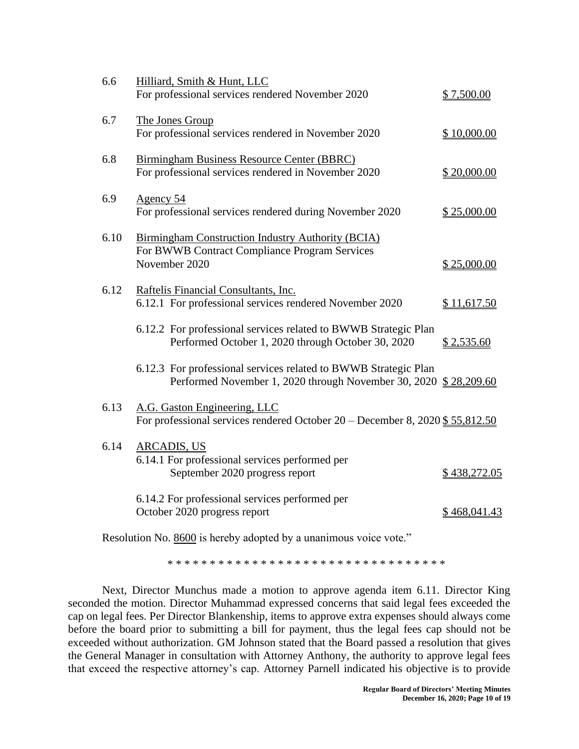| 6.6  | Hilliard, Smith & Hunt, LLC<br>For professional services rendered November 2020                                                     | \$7,500.00   |
|------|-------------------------------------------------------------------------------------------------------------------------------------|--------------|
| 6.7  | The Jones Group<br>For professional services rendered in November 2020                                                              | \$10,000.00  |
| 6.8  | Birmingham Business Resource Center (BBRC)<br>For professional services rendered in November 2020                                   | \$20,000.00  |
| 6.9  | Agency 54<br>For professional services rendered during November 2020                                                                | \$25,000.00  |
| 6.10 | <b>Birmingham Construction Industry Authority (BCIA)</b><br>For BWWB Contract Compliance Program Services<br>November 2020          | \$25,000.00  |
| 6.12 | Raftelis Financial Consultants, Inc.<br>6.12.1 For professional services rendered November 2020                                     | \$11,617.50  |
|      | 6.12.2 For professional services related to BWWB Strategic Plan<br>Performed October 1, 2020 through October 30, 2020               | \$2,535.60   |
|      | 6.12.3 For professional services related to BWWB Strategic Plan<br>Performed November 1, 2020 through November 30, 2020 \$28,209.60 |              |
| 6.13 | A.G. Gaston Engineering, LLC<br>For professional services rendered October $20$ – December 8, 2020 \$55,812.50                      |              |
| 6.14 | <b>ARCADIS, US</b><br>6.14.1 For professional services performed per<br>September 2020 progress report                              | \$438,272.05 |
|      | 6.14.2 For professional services performed per<br>October 2020 progress report                                                      | \$468,041.43 |
|      |                                                                                                                                     |              |

Resolution No. 8600 is hereby adopted by a unanimous voice vote."

\* \* \* \* \* \* \* \* \* \* \* \* \* \* \* \* \* \* \* \* \* \* \* \* \* \* \* \* \* \* \* \* \*

Next, Director Munchus made a motion to approve agenda item 6.11. Director King seconded the motion. Director Muhammad expressed concerns that said legal fees exceeded the cap on legal fees. Per Director Blankenship, items to approve extra expenses should always come before the board prior to submitting a bill for payment, thus the legal fees cap should not be exceeded without authorization. GM Johnson stated that the Board passed a resolution that gives the General Manager in consultation with Attorney Anthony, the authority to approve legal fees that exceed the respective attorney's cap. Attorney Parnell indicated his objective is to provide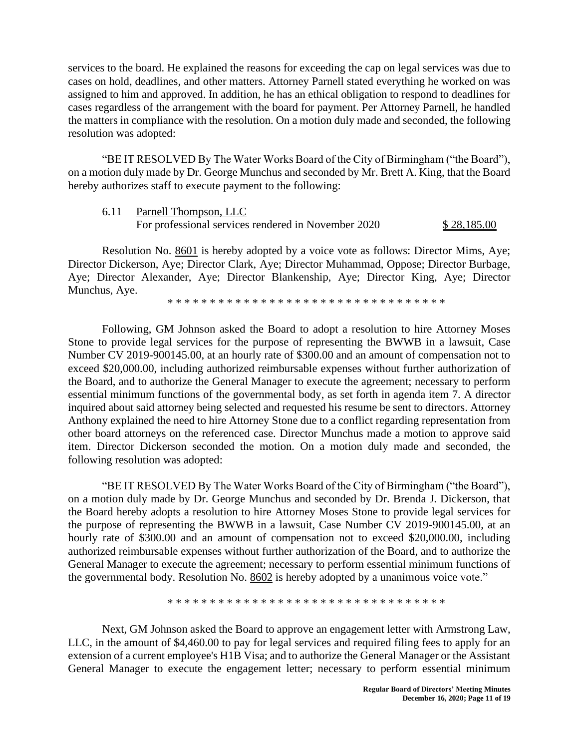services to the board. He explained the reasons for exceeding the cap on legal services was due to cases on hold, deadlines, and other matters. Attorney Parnell stated everything he worked on was assigned to him and approved. In addition, he has an ethical obligation to respond to deadlines for cases regardless of the arrangement with the board for payment. Per Attorney Parnell, he handled the matters in compliance with the resolution. On a motion duly made and seconded, the following resolution was adopted:

"BE IT RESOLVED By The Water Works Board of the City of Birmingham ("the Board"), on a motion duly made by Dr. George Munchus and seconded by Mr. Brett A. King, that the Board hereby authorizes staff to execute payment to the following:

6.11 Parnell Thompson, LLC For professional services rendered in November 2020 \$ 28,185.00

Resolution No. 8601 is hereby adopted by a voice vote as follows: Director Mims, Aye; Director Dickerson, Aye; Director Clark, Aye; Director Muhammad, Oppose; Director Burbage, Aye; Director Alexander, Aye; Director Blankenship, Aye; Director King, Aye; Director Munchus, Aye.

\* \* \* \* \* \* \* \* \* \* \* \* \* \* \* \* \* \* \* \* \* \* \* \* \* \* \* \* \* \* \* \* \*

Following, GM Johnson asked the Board to adopt a resolution to hire Attorney Moses Stone to provide legal services for the purpose of representing the BWWB in a lawsuit, Case Number CV 2019-900145.00, at an hourly rate of \$300.00 and an amount of compensation not to exceed \$20,000.00, including authorized reimbursable expenses without further authorization of the Board, and to authorize the General Manager to execute the agreement; necessary to perform essential minimum functions of the governmental body, as set forth in agenda item 7. A director inquired about said attorney being selected and requested his resume be sent to directors. Attorney Anthony explained the need to hire Attorney Stone due to a conflict regarding representation from other board attorneys on the referenced case. Director Munchus made a motion to approve said item. Director Dickerson seconded the motion. On a motion duly made and seconded, the following resolution was adopted:

"BE IT RESOLVED By The Water Works Board of the City of Birmingham ("the Board"), on a motion duly made by Dr. George Munchus and seconded by Dr. Brenda J. Dickerson, that the Board hereby adopts a resolution to hire Attorney Moses Stone to provide legal services for the purpose of representing the BWWB in a lawsuit, Case Number CV 2019-900145.00, at an hourly rate of \$300.00 and an amount of compensation not to exceed \$20,000.00, including authorized reimbursable expenses without further authorization of the Board, and to authorize the General Manager to execute the agreement; necessary to perform essential minimum functions of the governmental body. Resolution No. 8602 is hereby adopted by a unanimous voice vote."

\* \* \* \* \* \* \* \* \* \* \* \* \* \* \* \* \* \* \* \* \* \* \* \* \* \* \* \* \* \* \* \* \*

Next, GM Johnson asked the Board to approve an engagement letter with Armstrong Law, LLC, in the amount of \$4,460.00 to pay for legal services and required filing fees to apply for an extension of a current employee's H1B Visa; and to authorize the General Manager or the Assistant General Manager to execute the engagement letter; necessary to perform essential minimum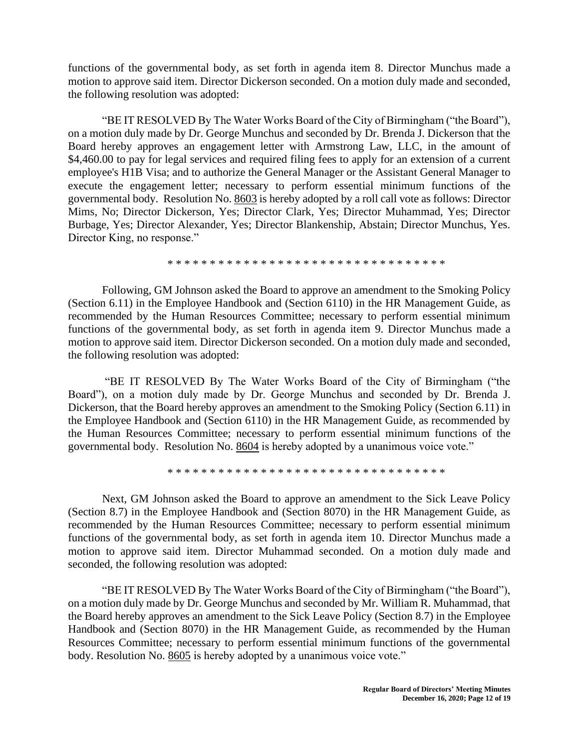functions of the governmental body, as set forth in agenda item 8. Director Munchus made a motion to approve said item. Director Dickerson seconded. On a motion duly made and seconded, the following resolution was adopted:

"BE IT RESOLVED By The Water Works Board of the City of Birmingham ("the Board"), on a motion duly made by Dr. George Munchus and seconded by Dr. Brenda J. Dickerson that the Board hereby approves an engagement letter with Armstrong Law, LLC, in the amount of \$4,460.00 to pay for legal services and required filing fees to apply for an extension of a current employee's H1B Visa; and to authorize the General Manager or the Assistant General Manager to execute the engagement letter; necessary to perform essential minimum functions of the governmental body. Resolution No. 8603 is hereby adopted by a roll call vote as follows: Director Mims, No; Director Dickerson, Yes; Director Clark, Yes; Director Muhammad, Yes; Director Burbage, Yes; Director Alexander, Yes; Director Blankenship, Abstain; Director Munchus, Yes. Director King, no response."

\* \* \* \* \* \* \* \* \* \* \* \* \* \* \* \* \* \* \* \* \* \* \* \* \* \* \* \* \* \* \* \* \*

Following, GM Johnson asked the Board to approve an amendment to the Smoking Policy (Section 6.11) in the Employee Handbook and (Section 6110) in the HR Management Guide, as recommended by the Human Resources Committee; necessary to perform essential minimum functions of the governmental body, as set forth in agenda item 9. Director Munchus made a motion to approve said item. Director Dickerson seconded. On a motion duly made and seconded, the following resolution was adopted:

"BE IT RESOLVED By The Water Works Board of the City of Birmingham ("the Board"), on a motion duly made by Dr. George Munchus and seconded by Dr. Brenda J. Dickerson, that the Board hereby approves an amendment to the Smoking Policy (Section 6.11) in the Employee Handbook and (Section 6110) in the HR Management Guide, as recommended by the Human Resources Committee; necessary to perform essential minimum functions of the governmental body. Resolution No. 8604 is hereby adopted by a unanimous voice vote."

\* \* \* \* \* \* \* \* \* \* \* \* \* \* \* \* \* \* \* \* \* \* \* \* \* \* \* \* \* \* \* \* \*

Next, GM Johnson asked the Board to approve an amendment to the Sick Leave Policy (Section 8.7) in the Employee Handbook and (Section 8070) in the HR Management Guide, as recommended by the Human Resources Committee; necessary to perform essential minimum functions of the governmental body, as set forth in agenda item 10. Director Munchus made a motion to approve said item. Director Muhammad seconded. On a motion duly made and seconded, the following resolution was adopted:

"BE IT RESOLVED By The Water Works Board of the City of Birmingham ("the Board"), on a motion duly made by Dr. George Munchus and seconded by Mr. William R. Muhammad, that the Board hereby approves an amendment to the Sick Leave Policy (Section 8.7) in the Employee Handbook and (Section 8070) in the HR Management Guide, as recommended by the Human Resources Committee; necessary to perform essential minimum functions of the governmental body. Resolution No. 8605 is hereby adopted by a unanimous voice vote."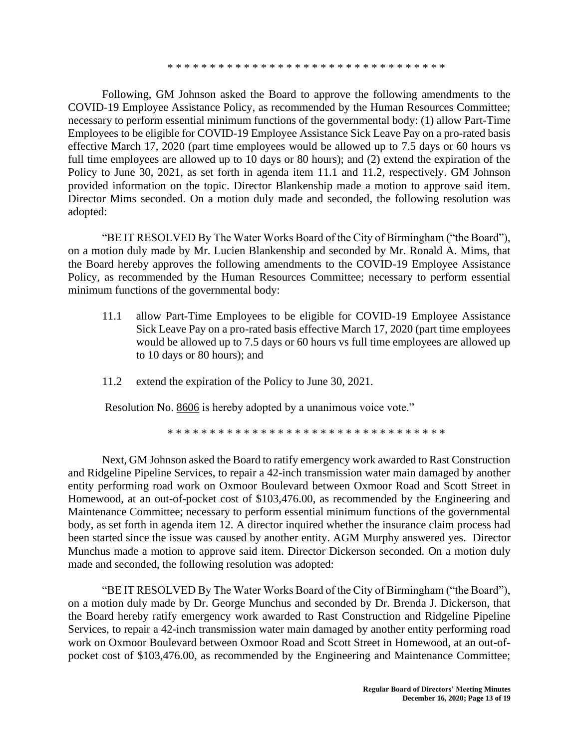\* \* \* \* \* \* \* \* \* \* \* \* \* \* \* \* \* \* \* \* \* \* \* \* \* \* \* \* \* \* \* \* \*

Following, GM Johnson asked the Board to approve the following amendments to the COVID-19 Employee Assistance Policy, as recommended by the Human Resources Committee; necessary to perform essential minimum functions of the governmental body: (1) allow Part-Time Employees to be eligible for COVID-19 Employee Assistance Sick Leave Pay on a pro-rated basis effective March 17, 2020 (part time employees would be allowed up to 7.5 days or 60 hours vs full time employees are allowed up to 10 days or 80 hours); and (2) extend the expiration of the Policy to June 30, 2021, as set forth in agenda item 11.1 and 11.2, respectively. GM Johnson provided information on the topic. Director Blankenship made a motion to approve said item. Director Mims seconded. On a motion duly made and seconded, the following resolution was adopted:

"BE IT RESOLVED By The Water Works Board of the City of Birmingham ("the Board"), on a motion duly made by Mr. Lucien Blankenship and seconded by Mr. Ronald A. Mims, that the Board hereby approves the following amendments to the COVID-19 Employee Assistance Policy, as recommended by the Human Resources Committee; necessary to perform essential minimum functions of the governmental body:

- 11.1 allow Part-Time Employees to be eligible for COVID-19 Employee Assistance Sick Leave Pay on a pro-rated basis effective March 17, 2020 (part time employees would be allowed up to 7.5 days or 60 hours vs full time employees are allowed up to 10 days or 80 hours); and
- 11.2 extend the expiration of the Policy to June 30, 2021.

Resolution No. 8606 is hereby adopted by a unanimous voice vote."

\* \* \* \* \* \* \* \* \* \* \* \* \* \* \* \* \* \* \* \* \* \* \* \* \* \* \* \* \* \* \* \* \*

Next, GM Johnson asked the Board to ratify emergency work awarded to Rast Construction and Ridgeline Pipeline Services, to repair a 42-inch transmission water main damaged by another entity performing road work on Oxmoor Boulevard between Oxmoor Road and Scott Street in Homewood, at an out-of-pocket cost of \$103,476.00, as recommended by the Engineering and Maintenance Committee; necessary to perform essential minimum functions of the governmental body, as set forth in agenda item 12. A director inquired whether the insurance claim process had been started since the issue was caused by another entity. AGM Murphy answered yes. Director Munchus made a motion to approve said item. Director Dickerson seconded. On a motion duly made and seconded, the following resolution was adopted:

"BE IT RESOLVED By The Water Works Board of the City of Birmingham ("the Board"), on a motion duly made by Dr. George Munchus and seconded by Dr. Brenda J. Dickerson, that the Board hereby ratify emergency work awarded to Rast Construction and Ridgeline Pipeline Services, to repair a 42-inch transmission water main damaged by another entity performing road work on Oxmoor Boulevard between Oxmoor Road and Scott Street in Homewood, at an out-ofpocket cost of \$103,476.00, as recommended by the Engineering and Maintenance Committee;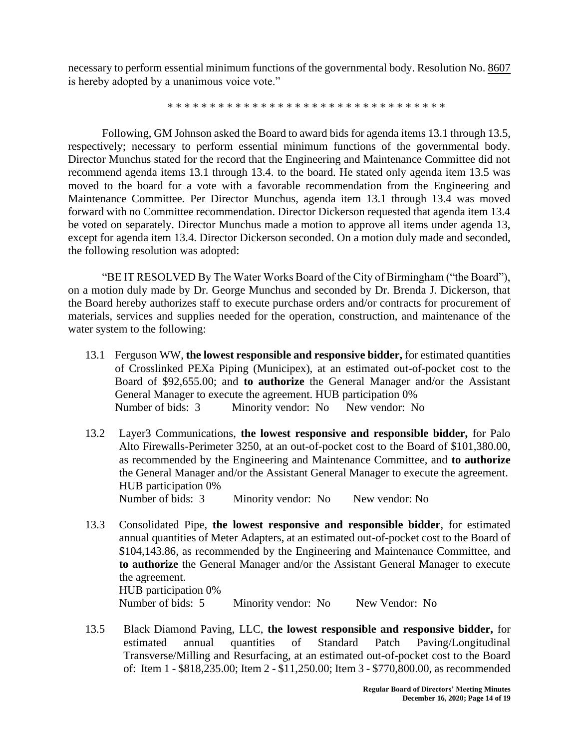necessary to perform essential minimum functions of the governmental body. Resolution No. 8607 is hereby adopted by a unanimous voice vote."

\* \* \* \* \* \* \* \* \* \* \* \* \* \* \* \* \* \* \* \* \* \* \* \* \* \* \* \* \* \* \* \* \*

Following, GM Johnson asked the Board to award bids for agenda items 13.1 through 13.5, respectively; necessary to perform essential minimum functions of the governmental body. Director Munchus stated for the record that the Engineering and Maintenance Committee did not recommend agenda items 13.1 through 13.4. to the board. He stated only agenda item 13.5 was moved to the board for a vote with a favorable recommendation from the Engineering and Maintenance Committee. Per Director Munchus, agenda item 13.1 through 13.4 was moved forward with no Committee recommendation. Director Dickerson requested that agenda item 13.4 be voted on separately. Director Munchus made a motion to approve all items under agenda 13, except for agenda item 13.4. Director Dickerson seconded. On a motion duly made and seconded, the following resolution was adopted:

"BE IT RESOLVED By The Water Works Board of the City of Birmingham ("the Board"), on a motion duly made by Dr. George Munchus and seconded by Dr. Brenda J. Dickerson, that the Board hereby authorizes staff to execute purchase orders and/or contracts for procurement of materials, services and supplies needed for the operation, construction, and maintenance of the water system to the following:

- 13.1 Ferguson WW, **the lowest responsible and responsive bidder,** for estimated quantities of Crosslinked PEXa Piping (Municipex), at an estimated out-of-pocket cost to the Board of \$92,655.00; and **to authorize** the General Manager and/or the Assistant General Manager to execute the agreement. HUB participation 0% Number of bids: 3 Minority vendor: No New vendor: No
- 13.2 Layer3 Communications, **the lowest responsive and responsible bidder,** for Palo Alto Firewalls-Perimeter 3250, at an out-of-pocket cost to the Board of \$101,380.00, as recommended by the Engineering and Maintenance Committee, and **to authorize** the General Manager and/or the Assistant General Manager to execute the agreement. HUB participation 0% Number of bids: 3 Minority vendor: No New vendor: No
- 13.3 Consolidated Pipe, **the lowest responsive and responsible bidder**, for estimated annual quantities of Meter Adapters, at an estimated out-of-pocket cost to the Board of \$104,143.86, as recommended by the Engineering and Maintenance Committee, and **to authorize** the General Manager and/or the Assistant General Manager to execute the agreement. HUB participation 0% Number of bids: 5 Minority vendor: No New Vendor: No
- 13.5 Black Diamond Paving, LLC, **the lowest responsible and responsive bidder,** for estimated annual quantities of Standard Patch Paving/Longitudinal Transverse/Milling and Resurfacing, at an estimated out-of-pocket cost to the Board of: Item 1 - \$818,235.00; Item 2 - \$11,250.00; Item 3 - \$770,800.00, as recommended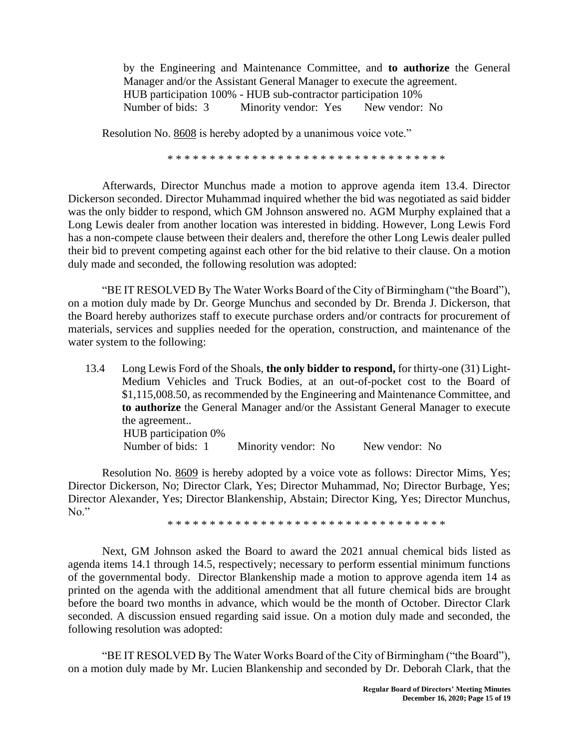by the Engineering and Maintenance Committee, and **to authorize** the General Manager and/or the Assistant General Manager to execute the agreement. HUB participation 100% - HUB sub-contractor participation 10% Number of bids: 3 Minority vendor: Yes New vendor: No

Resolution No. 8608 is hereby adopted by a unanimous voice vote."

\* \* \* \* \* \* \* \* \* \* \* \* \* \* \* \* \* \* \* \* \* \* \* \* \* \* \* \* \* \* \* \* \*

Afterwards, Director Munchus made a motion to approve agenda item 13.4. Director Dickerson seconded. Director Muhammad inquired whether the bid was negotiated as said bidder was the only bidder to respond, which GM Johnson answered no. AGM Murphy explained that a Long Lewis dealer from another location was interested in bidding. However, Long Lewis Ford has a non-compete clause between their dealers and, therefore the other Long Lewis dealer pulled their bid to prevent competing against each other for the bid relative to their clause. On a motion duly made and seconded, the following resolution was adopted:

"BE IT RESOLVED By The Water Works Board of the City of Birmingham ("the Board"), on a motion duly made by Dr. George Munchus and seconded by Dr. Brenda J. Dickerson, that the Board hereby authorizes staff to execute purchase orders and/or contracts for procurement of materials, services and supplies needed for the operation, construction, and maintenance of the water system to the following:

13.4 Long Lewis Ford of the Shoals, **the only bidder to respond,** for thirty-one (31) Light-Medium Vehicles and Truck Bodies, at an out-of-pocket cost to the Board of \$1,115,008.50, as recommended by the Engineering and Maintenance Committee, and **to authorize** the General Manager and/or the Assistant General Manager to execute the agreement.. HUB participation 0% Number of bids: 1 Minority vendor: No New vendor: No

Resolution No. 8609 is hereby adopted by a voice vote as follows: Director Mims, Yes; Director Dickerson, No; Director Clark, Yes; Director Muhammad, No; Director Burbage, Yes; Director Alexander, Yes; Director Blankenship, Abstain; Director King, Yes; Director Munchus, No."

\* \* \* \* \* \* \* \* \* \* \* \* \* \* \* \* \* \* \* \* \* \* \* \* \* \* \* \* \* \* \* \* \*

Next, GM Johnson asked the Board to award the 2021 annual chemical bids listed as agenda items 14.1 through 14.5, respectively; necessary to perform essential minimum functions of the governmental body. Director Blankenship made a motion to approve agenda item 14 as printed on the agenda with the additional amendment that all future chemical bids are brought before the board two months in advance, which would be the month of October. Director Clark seconded. A discussion ensued regarding said issue. On a motion duly made and seconded, the following resolution was adopted:

"BE IT RESOLVED By The Water Works Board of the City of Birmingham ("the Board"), on a motion duly made by Mr. Lucien Blankenship and seconded by Dr. Deborah Clark, that the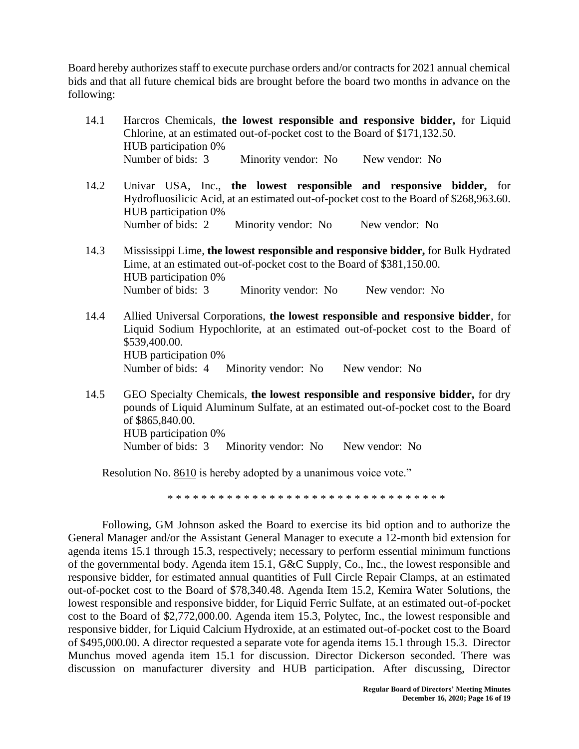Board hereby authorizes staff to execute purchase orders and/or contracts for 2021 annual chemical bids and that all future chemical bids are brought before the board two months in advance on the following:

- 14.1 Harcros Chemicals, **the lowest responsible and responsive bidder,** for Liquid Chlorine, at an estimated out-of-pocket cost to the Board of \$171,132.50. HUB participation 0% Number of bids: 3 Minority vendor: No New vendor: No
- 14.2 Univar USA, Inc., **the lowest responsible and responsive bidder,** for Hydrofluosilicic Acid, at an estimated out-of-pocket cost to the Board of \$268,963.60. HUB participation 0% Number of bids: 2 Minority vendor: No New vendor: No
- 14.3 Mississippi Lime, **the lowest responsible and responsive bidder,** for Bulk Hydrated Lime, at an estimated out-of-pocket cost to the Board of \$381,150.00. HUB participation 0% Number of bids: 3 Minority vendor: No New vendor: No
- 14.4 Allied Universal Corporations, **the lowest responsible and responsive bidder**, for Liquid Sodium Hypochlorite, at an estimated out-of-pocket cost to the Board of \$539,400.00. HUB participation 0% Number of bids: 4 Minority vendor: No New vendor: No
- 14.5 GEO Specialty Chemicals, **the lowest responsible and responsive bidder,** for dry pounds of Liquid Aluminum Sulfate, at an estimated out-of-pocket cost to the Board of \$865,840.00. HUB participation 0% Number of bids: 3 Minority vendor: No New vendor: No

Resolution No. 8610 is hereby adopted by a unanimous voice vote."

\* \* \* \* \* \* \* \* \* \* \* \* \* \* \* \* \* \* \* \* \* \* \* \* \* \* \* \* \* \* \* \* \*

Following, GM Johnson asked the Board to exercise its bid option and to authorize the General Manager and/or the Assistant General Manager to execute a 12-month bid extension for agenda items 15.1 through 15.3, respectively; necessary to perform essential minimum functions of the governmental body. Agenda item 15.1, G&C Supply, Co., Inc., the lowest responsible and responsive bidder, for estimated annual quantities of Full Circle Repair Clamps, at an estimated out-of-pocket cost to the Board of \$78,340.48. Agenda Item 15.2, Kemira Water Solutions, the lowest responsible and responsive bidder, for Liquid Ferric Sulfate, at an estimated out-of-pocket cost to the Board of \$2,772,000.00. Agenda item 15.3, Polytec, Inc., the lowest responsible and responsive bidder, for Liquid Calcium Hydroxide, at an estimated out-of-pocket cost to the Board of \$495,000.00. A director requested a separate vote for agenda items 15.1 through 15.3. Director Munchus moved agenda item 15.1 for discussion. Director Dickerson seconded. There was discussion on manufacturer diversity and HUB participation. After discussing, Director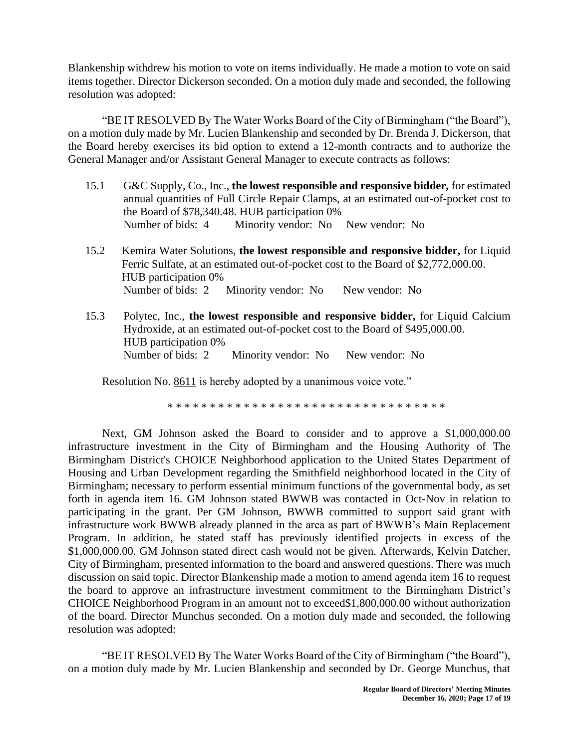Blankenship withdrew his motion to vote on items individually. He made a motion to vote on said items together. Director Dickerson seconded. On a motion duly made and seconded, the following resolution was adopted:

"BE IT RESOLVED By The Water Works Board of the City of Birmingham ("the Board"), on a motion duly made by Mr. Lucien Blankenship and seconded by Dr. Brenda J. Dickerson, that the Board hereby exercises its bid option to extend a 12-month contracts and to authorize the General Manager and/or Assistant General Manager to execute contracts as follows:

- 15.1 G&C Supply, Co., Inc., **the lowest responsible and responsive bidder,** for estimated annual quantities of Full Circle Repair Clamps, at an estimated out-of-pocket cost to the Board of \$78,340.48. HUB participation 0% Number of bids: 4 Minority vendor: No New vendor: No
- 15.2 Kemira Water Solutions, **the lowest responsible and responsive bidder,** for Liquid Ferric Sulfate, at an estimated out-of-pocket cost to the Board of \$2,772,000.00. HUB participation 0% Number of bids: 2 Minority vendor: No New vendor: No
- 15.3 Polytec, Inc., **the lowest responsible and responsive bidder,** for Liquid Calcium Hydroxide, at an estimated out-of-pocket cost to the Board of \$495,000.00. HUB participation 0% Number of bids: 2 Minority vendor: No New vendor: No

Resolution No. 8611 is hereby adopted by a unanimous voice vote."

\* \* \* \* \* \* \* \* \* \* \* \* \* \* \* \* \* \* \* \* \* \* \* \* \* \* \* \* \* \* \* \* \*

Next, GM Johnson asked the Board to consider and to approve a \$1,000,000.00 infrastructure investment in the City of Birmingham and the Housing Authority of The Birmingham District's CHOICE Neighborhood application to the United States Department of Housing and Urban Development regarding the Smithfield neighborhood located in the City of Birmingham; necessary to perform essential minimum functions of the governmental body, as set forth in agenda item 16. GM Johnson stated BWWB was contacted in Oct-Nov in relation to participating in the grant. Per GM Johnson, BWWB committed to support said grant with infrastructure work BWWB already planned in the area as part of BWWB's Main Replacement Program. In addition, he stated staff has previously identified projects in excess of the \$1,000,000.00. GM Johnson stated direct cash would not be given. Afterwards, Kelvin Datcher, City of Birmingham, presented information to the board and answered questions. There was much discussion on said topic. Director Blankenship made a motion to amend agenda item 16 to request the board to approve an infrastructure investment commitment to the Birmingham District's CHOICE Neighborhood Program in an amount not to exceed\$1,800,000.00 without authorization of the board. Director Munchus seconded. On a motion duly made and seconded, the following resolution was adopted:

"BE IT RESOLVED By The Water Works Board of the City of Birmingham ("the Board"), on a motion duly made by Mr. Lucien Blankenship and seconded by Dr. George Munchus, that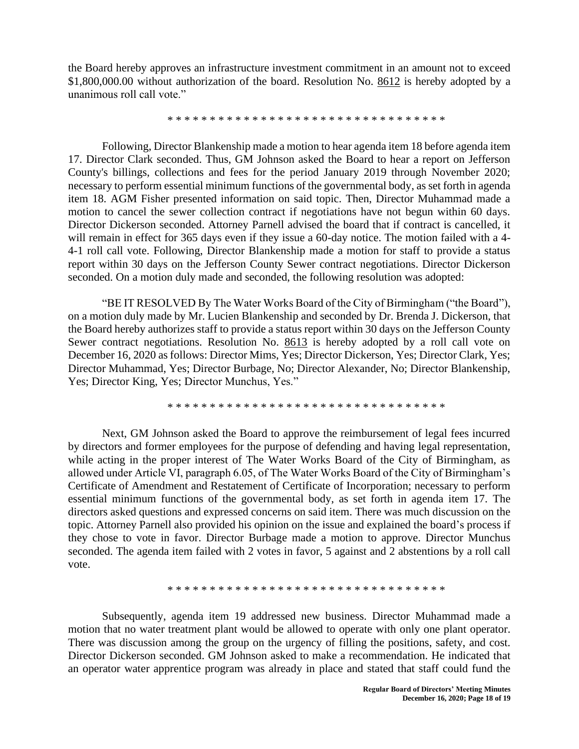the Board hereby approves an infrastructure investment commitment in an amount not to exceed \$1,800,000.00 without authorization of the board. Resolution No. 8612 is hereby adopted by a unanimous roll call vote."

\* \* \* \* \* \* \* \* \* \* \* \* \* \* \* \* \* \* \* \* \* \* \* \* \* \* \* \* \* \* \* \* \*

Following, Director Blankenship made a motion to hear agenda item 18 before agenda item 17. Director Clark seconded. Thus, GM Johnson asked the Board to hear a report on Jefferson County's billings, collections and fees for the period January 2019 through November 2020; necessary to perform essential minimum functions of the governmental body, as set forth in agenda item 18. AGM Fisher presented information on said topic. Then, Director Muhammad made a motion to cancel the sewer collection contract if negotiations have not begun within 60 days. Director Dickerson seconded. Attorney Parnell advised the board that if contract is cancelled, it will remain in effect for 365 days even if they issue a 60-day notice. The motion failed with a 4- 4-1 roll call vote. Following, Director Blankenship made a motion for staff to provide a status report within 30 days on the Jefferson County Sewer contract negotiations. Director Dickerson seconded. On a motion duly made and seconded, the following resolution was adopted:

"BE IT RESOLVED By The Water Works Board of the City of Birmingham ("the Board"), on a motion duly made by Mr. Lucien Blankenship and seconded by Dr. Brenda J. Dickerson, that the Board hereby authorizes staff to provide a status report within 30 days on the Jefferson County Sewer contract negotiations. Resolution No. 8613 is hereby adopted by a roll call vote on December 16, 2020 as follows: Director Mims, Yes; Director Dickerson, Yes; Director Clark, Yes; Director Muhammad, Yes; Director Burbage, No; Director Alexander, No; Director Blankenship, Yes; Director King, Yes; Director Munchus, Yes."

\* \* \* \* \* \* \* \* \* \* \* \* \* \* \* \* \* \* \* \* \* \* \* \* \* \* \* \* \* \* \* \* \*

Next, GM Johnson asked the Board to approve the reimbursement of legal fees incurred by directors and former employees for the purpose of defending and having legal representation, while acting in the proper interest of The Water Works Board of the City of Birmingham, as allowed under Article VI, paragraph 6.05, of The Water Works Board of the City of Birmingham's Certificate of Amendment and Restatement of Certificate of Incorporation; necessary to perform essential minimum functions of the governmental body, as set forth in agenda item 17. The directors asked questions and expressed concerns on said item. There was much discussion on the topic. Attorney Parnell also provided his opinion on the issue and explained the board's process if they chose to vote in favor. Director Burbage made a motion to approve. Director Munchus seconded. The agenda item failed with 2 votes in favor, 5 against and 2 abstentions by a roll call vote.

\* \* \* \* \* \* \* \* \* \* \* \* \* \* \* \* \* \* \* \* \* \* \* \* \* \* \* \* \* \* \* \* \*

Subsequently, agenda item 19 addressed new business. Director Muhammad made a motion that no water treatment plant would be allowed to operate with only one plant operator. There was discussion among the group on the urgency of filling the positions, safety, and cost. Director Dickerson seconded. GM Johnson asked to make a recommendation. He indicated that an operator water apprentice program was already in place and stated that staff could fund the